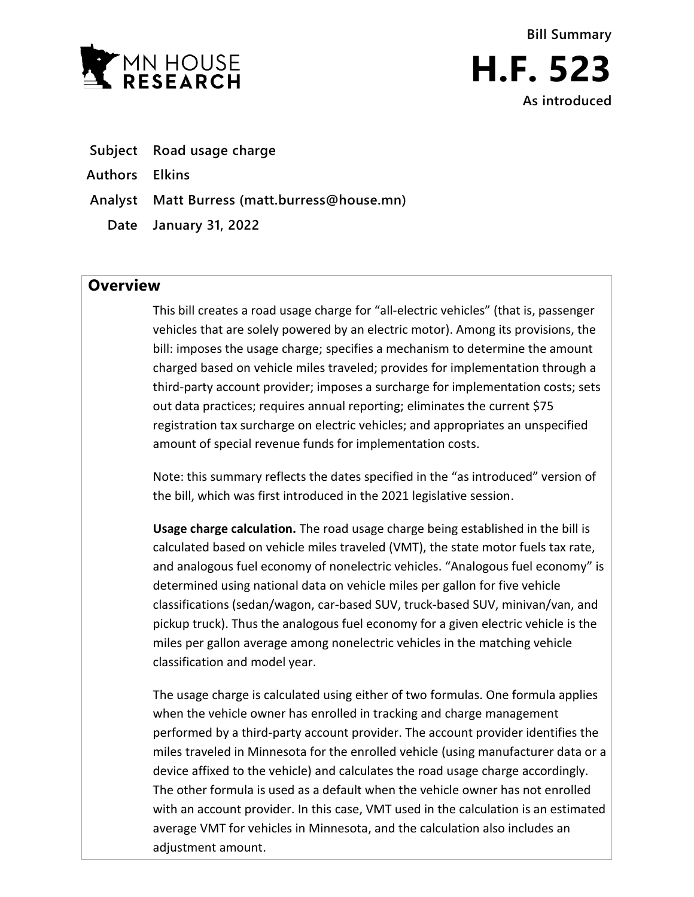



- **Subject Road usage charge**
- **Authors Elkins**
- **Analyst Matt Burress (matt.burress@house.mn)**
	- **Date January 31, 2022**

## **Overview**

This bill creates a road usage charge for "all-electric vehicles" (that is, passenger vehicles that are solely powered by an electric motor). Among its provisions, the bill: imposes the usage charge; specifies a mechanism to determine the amount charged based on vehicle miles traveled; provides for implementation through a third-party account provider; imposes a surcharge for implementation costs; sets out data practices; requires annual reporting; eliminates the current \$75 registration tax surcharge on electric vehicles; and appropriates an unspecified amount of special revenue funds for implementation costs.

Note: this summary reflects the dates specified in the "as introduced" version of the bill, which was first introduced in the 2021 legislative session.

**Usage charge calculation.** The road usage charge being established in the bill is calculated based on vehicle miles traveled (VMT), the state motor fuels tax rate, and analogous fuel economy of nonelectric vehicles. "Analogous fuel economy" is determined using national data on vehicle miles per gallon for five vehicle classifications (sedan/wagon, car-based SUV, truck-based SUV, minivan/van, and pickup truck). Thus the analogous fuel economy for a given electric vehicle is the miles per gallon average among nonelectric vehicles in the matching vehicle classification and model year.

The usage charge is calculated using either of two formulas. One formula applies when the vehicle owner has enrolled in tracking and charge management performed by a third-party account provider. The account provider identifies the miles traveled in Minnesota for the enrolled vehicle (using manufacturer data or a device affixed to the vehicle) and calculates the road usage charge accordingly. The other formula is used as a default when the vehicle owner has not enrolled with an account provider. In this case, VMT used in the calculation is an estimated average VMT for vehicles in Minnesota, and the calculation also includes an adjustment amount.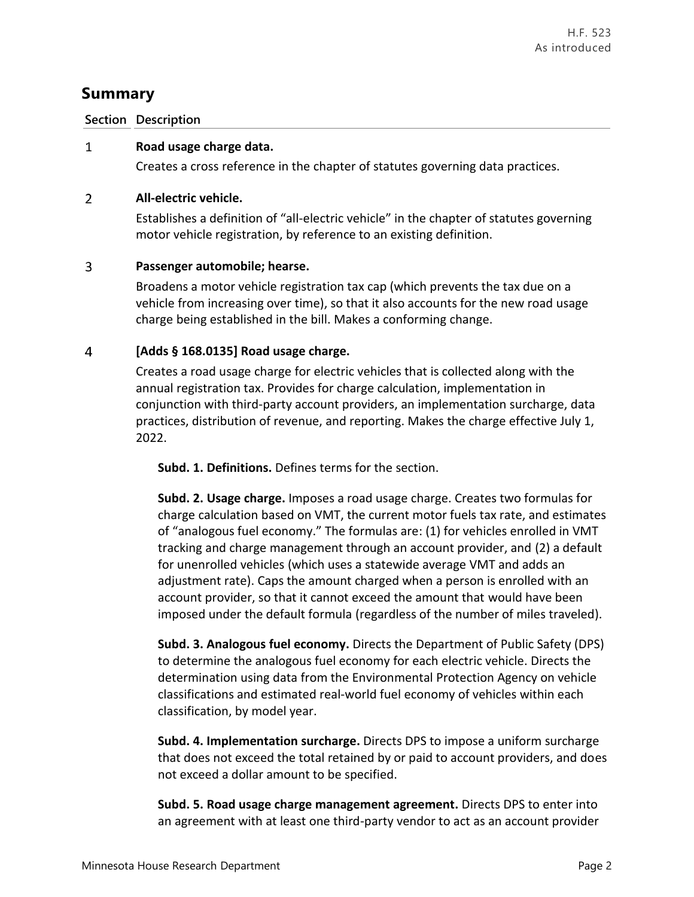# **Summary**

### **Section Description**

#### **Road usage charge data.**  $\mathbf{1}$

Creates a cross reference in the chapter of statutes governing data practices.

#### $\overline{2}$ **All-electric vehicle.**

Establishes a definition of "all-electric vehicle" in the chapter of statutes governing motor vehicle registration, by reference to an existing definition.

#### 3 **Passenger automobile; hearse.**

Broadens a motor vehicle registration tax cap (which prevents the tax due on a vehicle from increasing over time), so that it also accounts for the new road usage charge being established in the bill. Makes a conforming change.

#### $\overline{4}$ **[Adds § 168.0135] Road usage charge.**

Creates a road usage charge for electric vehicles that is collected along with the annual registration tax. Provides for charge calculation, implementation in conjunction with third-party account providers, an implementation surcharge, data practices, distribution of revenue, and reporting. Makes the charge effective July 1, 2022.

**Subd. 1. Definitions.** Defines terms for the section.

**Subd. 2. Usage charge.** Imposes a road usage charge. Creates two formulas for charge calculation based on VMT, the current motor fuels tax rate, and estimates of "analogous fuel economy." The formulas are: (1) for vehicles enrolled in VMT tracking and charge management through an account provider, and (2) a default for unenrolled vehicles (which uses a statewide average VMT and adds an adjustment rate). Caps the amount charged when a person is enrolled with an account provider, so that it cannot exceed the amount that would have been imposed under the default formula (regardless of the number of miles traveled).

**Subd. 3. Analogous fuel economy.** Directs the Department of Public Safety (DPS) to determine the analogous fuel economy for each electric vehicle. Directs the determination using data from the Environmental Protection Agency on vehicle classifications and estimated real-world fuel economy of vehicles within each classification, by model year.

**Subd. 4. Implementation surcharge.** Directs DPS to impose a uniform surcharge that does not exceed the total retained by or paid to account providers, and does not exceed a dollar amount to be specified.

**Subd. 5. Road usage charge management agreement.** Directs DPS to enter into an agreement with at least one third-party vendor to act as an account provider